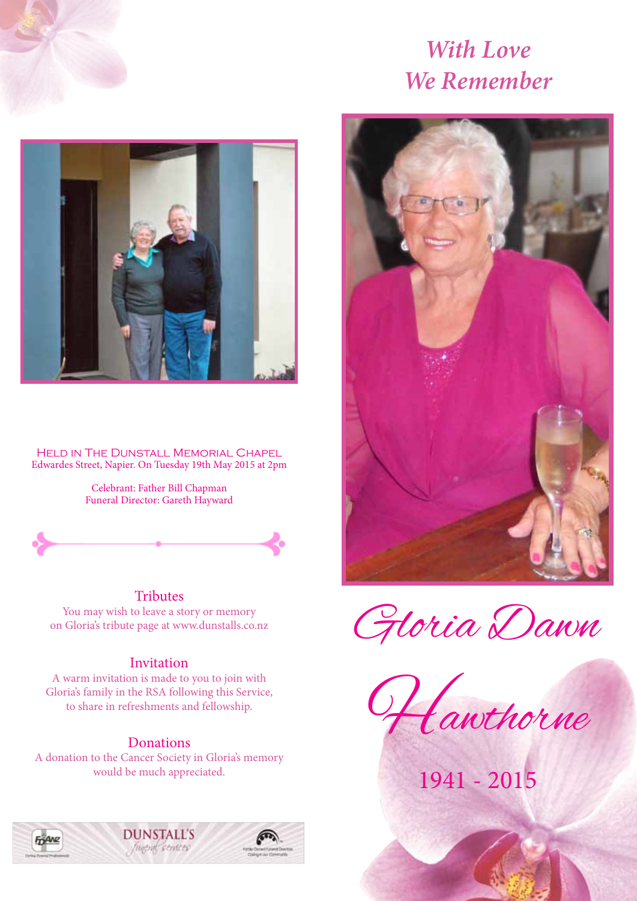

# *With Love We Remember*



Held in The Dunstall Memorial Chapel Edwardes Street, Napier. On Tuesday 19th May 2015 at 2pm

> Celebrant: Father Bill Chapman Funeral Director: Gareth Hayward



#### **Tributes**

You may wish to leave a story or memory on Gloria's tribute page at www.dunstalls.co.nz

#### Invitation

A warm invitation is made to you to join with Gloria's family in the RSA following this Service, to share in refreshments and fellowship.

#### Donations

A donation to the Cancer Society in Gloria's memory would be much appreciated.







Gloria Dawn



1941 - 2015